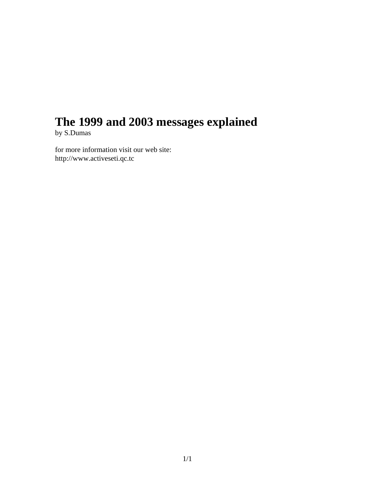# **The 1999 and 2003 messages explained**

by S.Dumas

for more information visit our web site: http://www.activeseti.qc.tc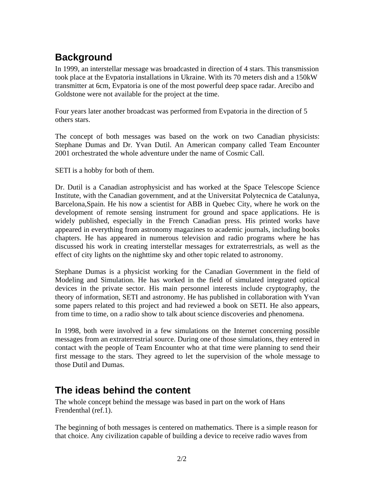### **Background**

In 1999, an interstellar message was broadcasted in direction of 4 stars. This transmission took place at the Evpatoria installations in Ukraine. With its 70 meters dish and a 150kW transmitter at 6cm, Evpatoria is one of the most powerful deep space radar. Arecibo and Goldstone were not available for the project at the time.

Four years later another broadcast was performed from Evpatoria in the direction of 5 others stars.

The concept of both messages was based on the work on two Canadian physicists: Stephane Dumas and Dr. Yvan Dutil. An American company called Team Encounter 2001 orchestrated the whole adventure under the name of Cosmic Call.

SETI is a hobby for both of them.

Dr. Dutil is a Canadian astrophysicist and has worked at the Space Telescope Science Institute, with the Canadian government, and at the Universitat Polytecnica de Catalunya, Barcelona,Spain. He his now a scientist for ABB in Quebec City, where he work on the development of remote sensing instrument for ground and space applications. He is widely published, especially in the French Canadian press. His printed works have appeared in everything from astronomy magazines to academic journals, including books chapters. He has appeared in numerous television and radio programs where he has discussed his work in creating interstellar messages for extraterrestrials, as well as the effect of city lights on the nighttime sky and other topic related to astronomy.

Stephane Dumas is a physicist working for the Canadian Government in the field of Modeling and Simulation. He has worked in the field of simulated integrated optical devices in the private sector. His main personnel interests include cryptography, the theory of information, SETI and astronomy. He has published in collaboration with Yvan some papers related to this project and had reviewed a book on SETI. He also appears, from time to time, on a radio show to talk about science discoveries and phenomena.

In 1998, both were involved in a few simulations on the Internet concerning possible messages from an extraterrestrial source. During one of those simulations, they entered in contact with the people of Team Encounter who at that time were planning to send their first message to the stars. They agreed to let the supervision of the whole message to those Dutil and Dumas.

#### **The ideas behind the content**

The whole concept behind the message was based in part on the work of Hans Frendenthal (ref.1).

The beginning of both messages is centered on mathematics. There is a simple reason for that choice. Any civilization capable of building a device to receive radio waves from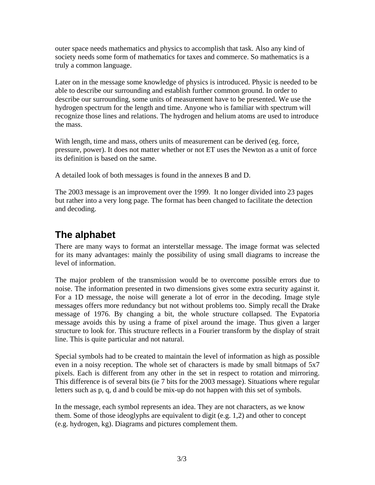outer space needs mathematics and physics to accomplish that task. Also any kind of society needs some form of mathematics for taxes and commerce. So mathematics is a truly a common language.

Later on in the message some knowledge of physics is introduced. Physic is needed to be able to describe our surrounding and establish further common ground. In order to describe our surrounding, some units of measurement have to be presented. We use the hydrogen spectrum for the length and time. Anyone who is familiar with spectrum will recognize those lines and relations. The hydrogen and helium atoms are used to introduce the mass.

With length, time and mass, others units of measurement can be derived (eg. force, pressure, power). It does not matter whether or not ET uses the Newton as a unit of force its definition is based on the same.

A detailed look of both messages is found in the annexes B and D.

The 2003 message is an improvement over the 1999. It no longer divided into 23 pages but rather into a very long page. The format has been changed to facilitate the detection and decoding.

#### **The alphabet**

There are many ways to format an interstellar message. The image format was selected for its many advantages: mainly the possibility of using small diagrams to increase the level of information.

The major problem of the transmission would be to overcome possible errors due to noise. The information presented in two dimensions gives some extra security against it. For a 1D message, the noise will generate a lot of error in the decoding. Image style messages offers more redundancy but not without problems too. Simply recall the Drake message of 1976. By changing a bit, the whole structure collapsed. The Evpatoria message avoids this by using a frame of pixel around the image. Thus given a larger structure to look for. This structure reflects in a Fourier transform by the display of strait line. This is quite particular and not natural.

Special symbols had to be created to maintain the level of information as high as possible even in a noisy reception. The whole set of characters is made by small bitmaps of 5x7 pixels. Each is different from any other in the set in respect to rotation and mirroring. This difference is of several bits (ie 7 bits for the 2003 message). Situations where regular letters such as p, q, d and b could be mix-up do not happen with this set of symbols.

In the message, each symbol represents an idea. They are not characters, as we know them. Some of those ideoglyphs are equivalent to digit (e.g. 1,2) and other to concept (e.g. hydrogen, kg). Diagrams and pictures complement them.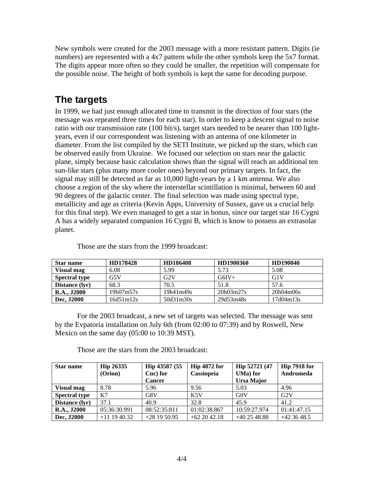New symbols were created for the 2003 message with a more resistant pattern. Digits (ie numbers) are represented with a 4x7 pattern while the other symbols keep the 5x7 format. The digits appear more often so they could be smaller, the repetition will compensate for the possible noise. The height of both symbols is kept the same for decoding purpose.

#### **The targets**

In 1999, we had just enough allocated time to transmit in the direction of four stars (the message was repeated three times for each star). In order to keep a descent signal to noise ratio with our transmission rate (100 bit/s), target stars needed to be nearer than 100 lightyears, even if our correspondent was listening with an antenna of one kilometer in diameter. From the list compiled by the SETI Institute, we picked up the stars, which can be observed easily from Ukraine. We focused our selection on stars near the galactic plane, simply because basic calculation shows than the signal will reach an additional ten sun-like stars (plus many more cooler ones) beyond our primary targets. In fact, the signal may still be detected as far as 10,000 light-years by a 1 km antenna. We also choose a region of the sky where the interstellar scintillation is minimal, between 60 and 90 degrees of the galactic center. The final selection was made using spectral type, metallicity and age as criteria (Kevin Apps, University of Sussex, gave us a crucial help for this final step). We even managed to get a star in bonus, since our target star 16 Cygni A has a widely separated companion 16 Cygni B, which is know to possess an extrasolar planet.

| <b>Star name</b>     | HD178428  | HD186408  | HD1900360 | HD190040  |
|----------------------|-----------|-----------|-----------|-----------|
| <b>Visual mag</b>    | 6.08      | 5.99      | 5.73      | 5.08      |
| <b>Spectral type</b> | G5V       | G2V       | $G6IV+$   | G1V       |
| Distance (lyr)       | 68.3      | 70.5      | 51.8      | 57.6      |
| <b>R.A., J2000</b>   | 19h07m57s | 19h41m49s | 20h03m27s | 20h04m06s |
| Dec, J2000           | 16d51m12s | 50d31m30s | 29d53m48s | 17d04m13s |

Those are the stars from the 1999 broadcast:

For the 2003 broadcast, a new set of targets was selected. The message was sent by the Evpatoria installation on July 6th (from 02:00 to 07:39) and by Roswell, New Mexico on the same day (05:00 to 10:39 MST).

Those are the stars from the 2003 broadcast:

| <b>Star name</b>     | <b>Hip 26335</b> | Hip 43587 (55 | Hip 4872 for | Hip 52721 (47 | Hip 7918 for |
|----------------------|------------------|---------------|--------------|---------------|--------------|
|                      | (Orion)          | Cnc) for      | Cassiopeia   | UMa) for      | Andromeda    |
|                      |                  | <b>Cancer</b> |              | Ursa Major    |              |
| Visual mag           | 8.78             | 5.96          | 9.56         | 5.03          | 4.96         |
| <b>Spectral type</b> | K7               | G8V           | K5V          | G0V           | G2V          |
| Distance (lyr)       | 37.1             | 40.9          | 32.8         | 45.9          | 41.2         |
| <b>R.A., J2000</b>   | 05:36:30.991     | 08:52:35:811  | 01:02:38.867 | 10:59:27.974  | 01:41:47.15  |
| Dec, J2000           | $+11$ 19 40.32   | $+281950.95$  | $+622042.18$ | $+402548.88$  | $+423648.5$  |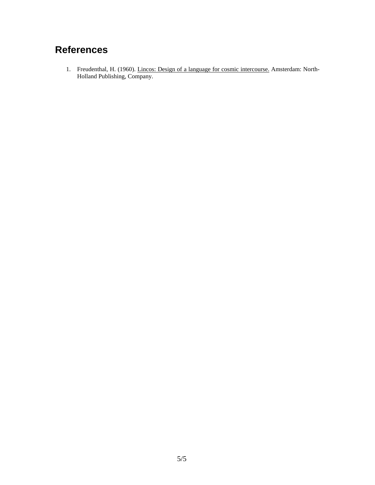### **References**

1. Freudenthal, H. (1960). Lincos: Design of a language for cosmic intercourse. Amsterdam: North-Holland Publishing, Company.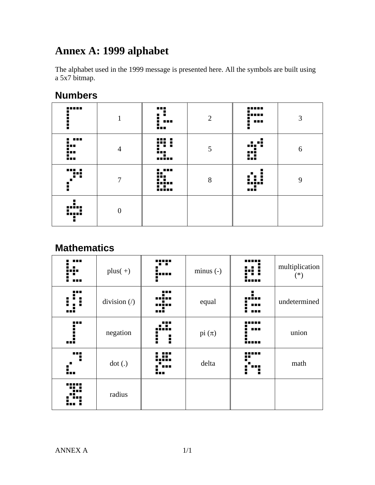### **Annex A: 1999 alphabet**

The alphabet used in the 1999 message is presented here. All the symbols are built using a 5x7 bitmap.

#### **Numbers**

| -----<br>٠<br>i                                                                                                                                                                                                                           | л.             | .<br>. .<br>.<br>٠                                         | $\overline{2}$ | -----<br>i<br>.<br>ī | 3 |
|-------------------------------------------------------------------------------------------------------------------------------------------------------------------------------------------------------------------------------------------|----------------|------------------------------------------------------------|----------------|----------------------|---|
| per de la poste de la poste de la poste de la poste de la poste de la poste de la poste de la poste de la post<br>De la poste de la poste de la poste de la poste de la poste de la poste de la poste de la poste de la poste de<br><br>E | $\overline{4}$ | m<br>5                                                     | 5              | .<br>nių ir<br>Ø     | 6 |
| 78<br>ŧ                                                                                                                                                                                                                                   | $\overline{7}$ | $\mathbf{L}^{\text{max}}$<br><b></b><br>. .<br>inin<br>HH. | 8              | inini<br>ш           | 9 |
| <br>m<br>Н                                                                                                                                                                                                                                | $\overline{0}$ |                                                            |                |                      |   |

#### **Mathematics**

|                    | $plus(+)$                             | . .<br>.<br>÷     | $minus (-)$ |                   | multiplication<br>$(*)$ |
|--------------------|---------------------------------------|-------------------|-------------|-------------------|-------------------------|
| .<br>п<br>Η<br>--- | division $\left\langle \right\rangle$ | :::<br>ī<br>      | equal       | ÷<br>dur,<br><br> | undetermined            |
| <br>Ē<br>i         | negation                              | <br>. .<br>ł<br>Ē | pi $(\pi)$  | ---<br><br>.      | union                   |
| <br>ē<br>٠<br>í.,  | dot(.)                                | <br>io            | delta       | r<br>Ē<br>н       | math                    |
|                    | radius                                |                   |             |                   |                         |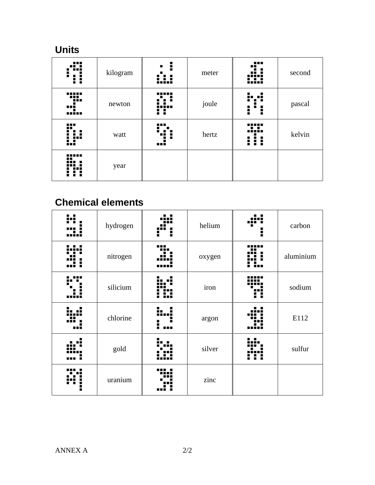#### **Units**

| .<br>∷                         | kilogram | ŧ<br>٠<br>         | meter | ąm.<br>▪<br>┅<br>              | second |
|--------------------------------|----------|--------------------|-------|--------------------------------|--------|
| ng:<br>٠<br>mī<br>             | newton   | 11 I I I<br><br>ш  | joule | н,<br>$\blacksquare$<br>₩<br>ŧ | pascal |
| .<br>$\mathbf{d}^{\mathbf{H}}$ | watt     | .<br>Е<br>∎∎<br>mi | hertz | <br>minin<br>∺                 | kelvin |
| -----<br>                      | year     |                    |       |                                |        |

### **Chemical elements**

| . .<br>. . | hydrogen | . .<br>Ē<br>Н | helium | . .<br>Η | carbon    |
|------------|----------|---------------|--------|----------|-----------|
| ╍          | nitrogen |               | oxygen |          | aluminium |
|            | silicium |               | iron   | ñ        | sodium    |
|            | chlorine | …∃<br>٠<br>.  | argon  |          | E112      |
|            | gold     |               | silver | п        | sulfur    |
|            | uranium  |               | zinc   |          |           |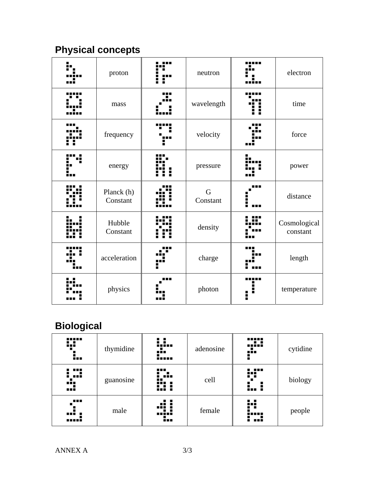# **Physical concepts**

| proton                 | neutron                 | electron                 |
|------------------------|-------------------------|--------------------------|
| mass                   | wavelength              | time                     |
| frequency              | velocity                | force                    |
| energy                 | pressure                | power                    |
| Planck (h)<br>Constant | $\mathbf G$<br>Constant | distance                 |
| Hubble<br>Constant     | density                 | Cosmological<br>constant |
| acceleration           | charge                  | length                   |
| physics                | photon                  | temperature              |

## **Biological**

| <br>83<br>٠     | thymidine | : :<br>iıin<br><br>       | adenosine | <br><br>                   | cytidine |
|-----------------|-----------|---------------------------|-----------|----------------------------|----------|
| .<br><br><br>   | guanosine | .<br>$\mathbf{H}$<br>ni i | cell      | .<br>.<br>. .<br>1. 1      | biology  |
| .<br>.<br>----- | male      | .:<br><br>٠               | female    | 83<br>- 11<br><b>.</b><br> | people   |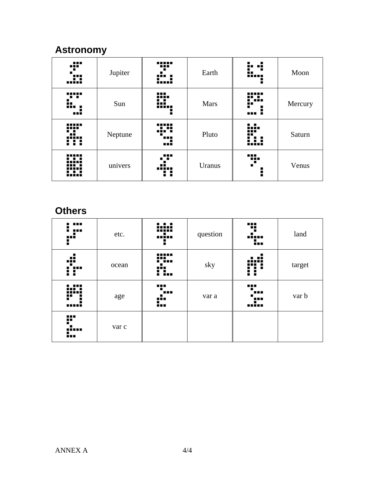### **Astronomy**

| ąP.<br>▬<br>.<br>        | Jupiter | -----<br>---<br>.<br>1:   | Earth       | ۰.<br>÷<br>8<br>ē                   | Moon    |
|--------------------------|---------|---------------------------|-------------|-------------------------------------|---------|
| <br>. .<br>k.<br>        | Sun     | <br>ĩu.<br>iiin<br>٠      | <b>Mars</b> | <br>---<br>$\blacksquare$<br>■<br>i | Mercury |
| -----<br>----<br><br>-11 | Neptune | .<br>.<br>                | Pluto       | 1.1.<br>.<br><br>٠<br>              | Saturn  |
|                          | univers | .<br>. .<br><br>,,,,<br>н | Uranus      | 95<br>п<br>i                        | Venus   |

#### **Others**

| ---<br>$\blacksquare$<br>■<br>F | etc.  |                                | question | Ŧ<br><br>٠., | land   |
|---------------------------------|-------|--------------------------------|----------|--------------|--------|
| цĒ<br>Ĥ                         | ocean | -----<br><b>::</b><br>.<br>i i | sky      | н,<br>: :    | target |
| ---<br>r<br>-----               | age   | 72<br><b>HEL</b><br>▪<br>Ë.    | var a    | 72<br><br>æ  | var b  |
| w<br><b>.1</b><br>m             | var c |                                |          |              |        |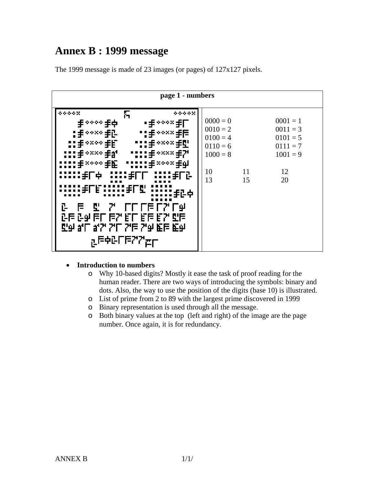#### **Annex B : 1999 message**

The 1999 message is made of 23 images (or pages) of 127x127 pixels.



#### • **Introduction to numbers**

- o Why 10-based digits? Mostly it ease the task of proof reading for the human reader. There are two ways of introducing the symbols: binary and dots. Also, the way to use the position of the digits (base 10) is illustrated.
- o List of prime from 2 to 89 with the largest prime discovered in 1999
- o Binary representation is used through all the message.
- o Both binary values at the top (left and right) of the image are the page number. Once again, it is for redundancy.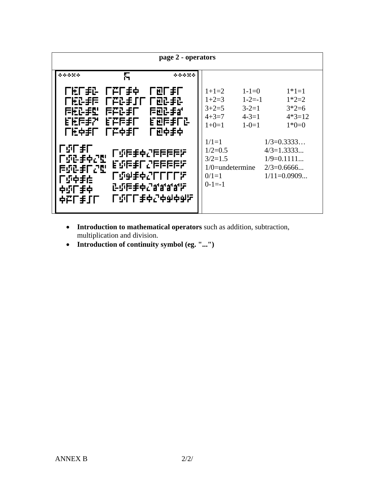| page 2 - operators                                                                                                                                     |                                                                                                                             |                                                                                   |
|--------------------------------------------------------------------------------------------------------------------------------------------------------|-----------------------------------------------------------------------------------------------------------------------------|-----------------------------------------------------------------------------------|
| δ.<br>*****<br>*****                                                                                                                                   |                                                                                                                             |                                                                                   |
| ΓΈΓ≢Φ<br>└⊡└≹└<br>ΓΕΓ≢ট<br>广包2手2<br>广压正手后<br>┍╒╒┋Ӏ<br>后短正手型<br>医产品手厂<br>后包2手部<br>EEFFF?<br><b>EEE手厂</b><br>自可自主的<br>LE中毛L Lu中毛L<br>厂包中手中               | $1+1=2$<br>$1 - 1 = 0$<br>$1 - 2 = -1$<br>$1+2=3$<br>$3+2=5$<br>$3 - 2 = 1$<br>$4 - 3 = 1$<br>$4+3=7$<br>$1+0=1$<br>$1-0=1$ | $1*1=1$<br>$1*2=2$<br>$3*2=6$<br>$4*3=12$<br>$1*0=0$                              |
| └"∟‼<br>7999997943907<br>CSQ手中2型<br>작극극극단, 기놓쿠[1]<br>医配手口型<br><b>└Q₩≢≑SLLLL≿</b><br><b>厂:</b> 5中手栏<br>락'☆'☆'☆'☆'☆'#'F<br>中距下手中<br><b>└₫└└</b> ≹♦5⋪⋪⋪₫⊾ | $1/1=1$<br>$1/2=0.5$<br>$3/2=1.5$<br>$1/0$ =undetermine<br>$0/1=1$<br>$0-1=-1$                                              | $1/3 = 0.3333$<br>$4/3=1.3333$<br>$1/9=0.1111$<br>$2/3=0.6666$<br>$1/11 = 0.0909$ |

- **Introduction to mathematical operators** such as addition, subtraction, multiplication and division.
- **Introduction of continuity symbol (eg. "...")**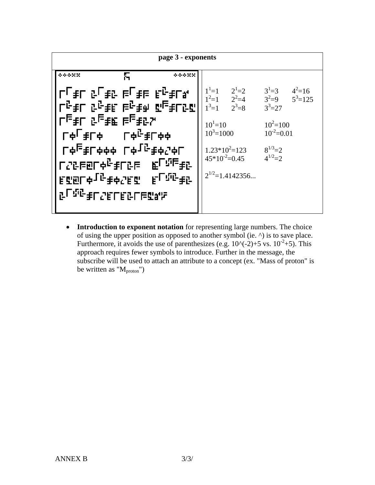

• **Introduction to exponent notation** for representing large numbers. The choice of using the upper position as opposed to another symbol (ie. ^) is to save place. Furthermore, it avoids the use of parenthesizes (e.g.  $10^{\circ}(-2)+5$  vs.  $10^{-2}+5$ ). This approach requires fewer symbols to introduce. Further in the message, the subscribe will be used to attach an attribute to a concept (ex. "Mass of proton" is be written as " $M<sub>proton</sub>$ ")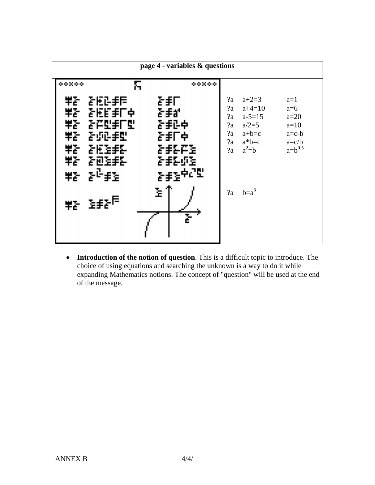

• **Introduction of the notion of question**. This is a difficult topic to introduce. The choice of using equations and searching the unknown is a way to do it while expanding Mathematics notions. The concept of "question" will be used at the end of the message.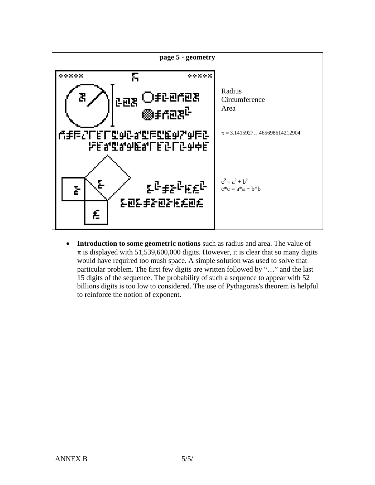

• **Introduction to some geometric notions** such as radius and area. The value of  $\pi$  is displayed with 51,539,600,000 digits. However, it is clear that so many digits would have required too mush space. A simple solution was used to solve that particular problem. The first few digits are written followed by "…" and the last 15 digits of the sequence. The probability of such a sequence to appear with 52 billions digits is too low to considered. The use of Pythagoras's theorem is helpful to reinforce the notion of exponent.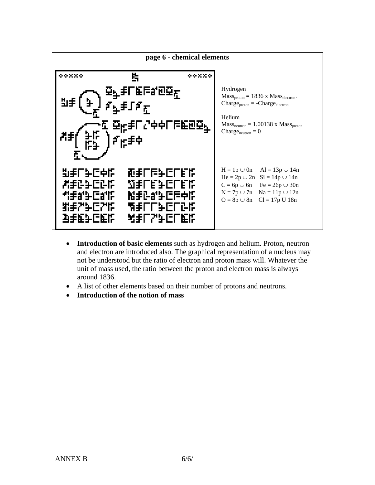

- **Introduction of basic elements** such as hydrogen and helium. Proton, neutron and electron are introduced also. The graphical representation of a nucleus may not be understood but the ratio of electron and proton mass will. Whatever the unit of mass used, the ratio between the proton and electron mass is always around 1836.
- A list of other elements based on their number of protons and neutrons.
- **Introduction of the notion of mass**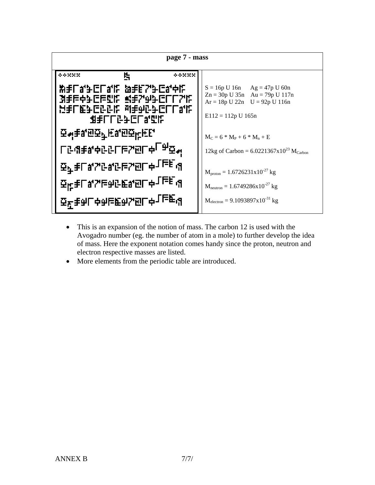

- This is an expansion of the notion of mass. The carbon 12 is used with the Avogadro number (eg. the number of atom in a mole) to further develop the idea of mass. Here the exponent notation comes handy since the proton, neutron and electron respective masses are listed.
- More elements from the periodic table are introduced.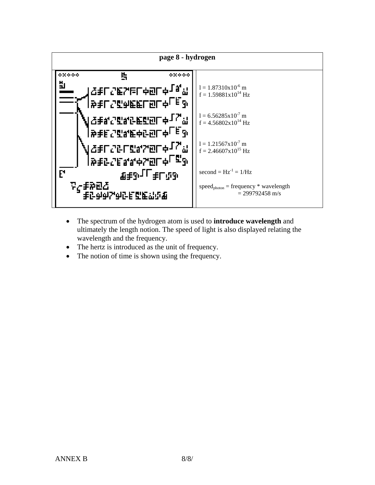

- The spectrum of the hydrogen atom is used to **introduce wavelength** and ultimately the length notion. The speed of light is also displayed relating the wavelength and the frequency.
- The hertz is introduced as the unit of frequency.
- The notion of time is shown using the frequency.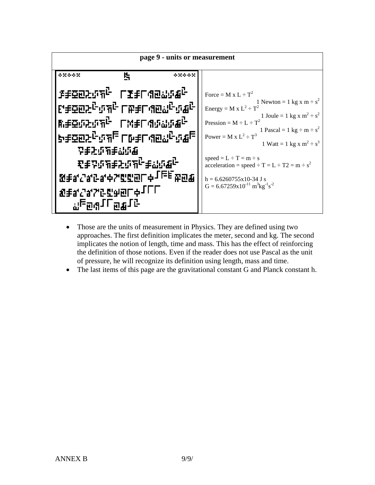

- Those are the units of measurement in Physics. They are defined using two approaches. The first definition implicates the meter, second and kg. The second implicates the notion of length, time and mass. This has the effect of reinforcing the definition of those notions. Even if the reader does not use Pascal as the unit of pressure, he will recognize its definition using length, mass and time.
- The last items of this page are the gravitational constant G and Planck constant h.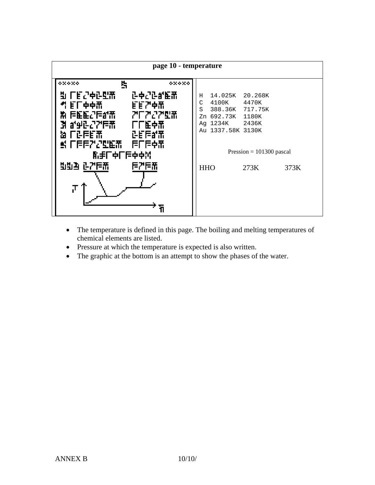

- The temperature is defined in this page. The boiling and melting temperatures of chemical elements are listed.
- Pressure at which the temperature is expected is also written.
- The graphic at the bottom is an attempt to show the phases of the water.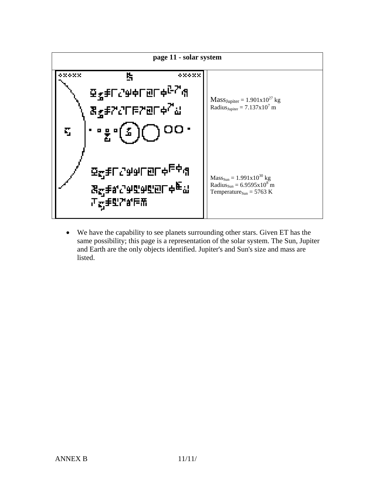

• We have the capability to see planets surrounding other stars. Given ET has the same possibility; this page is a representation of the solar system. The Sun, Jupiter and Earth are the only objects identified. Jupiter's and Sun's size and mass are listed.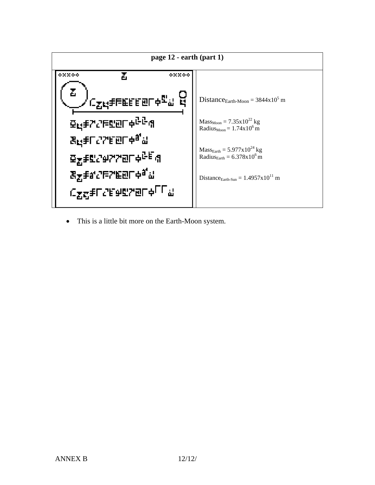

• This is a little bit more on the Earth-Moon system.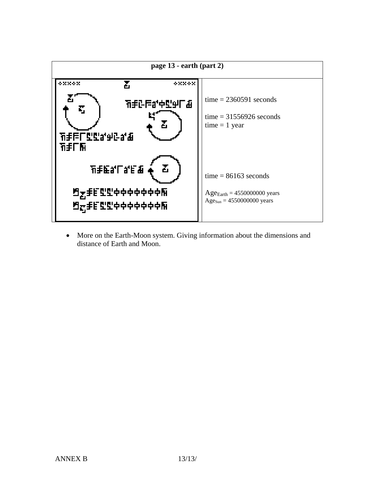

• More on the Earth-Moon system. Giving information about the dimensions and distance of Earth and Moon.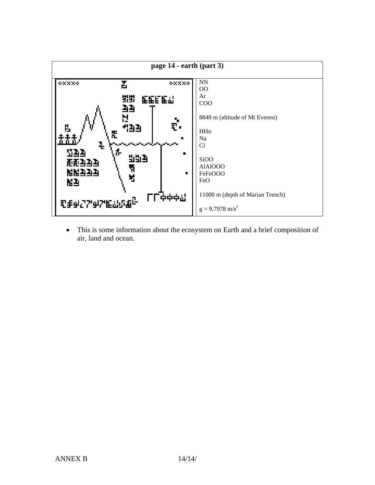

• This is some information about the ecosystem on Earth and a brief composition of air, land and ocean.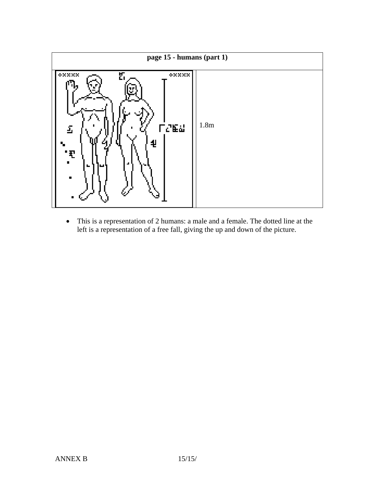

• This is a representation of 2 humans: a male and a female. The dotted line at the left is a representation of a free fall, giving the up and down of the picture.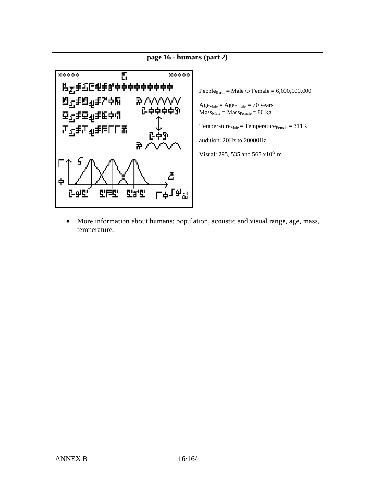

• More information about humans: population, acoustic and visual range, age, mass, temperature.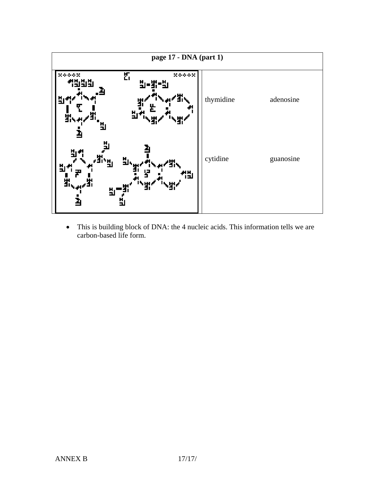

• This is building block of DNA: the 4 nucleic acids. This information tells we are carbon-based life form.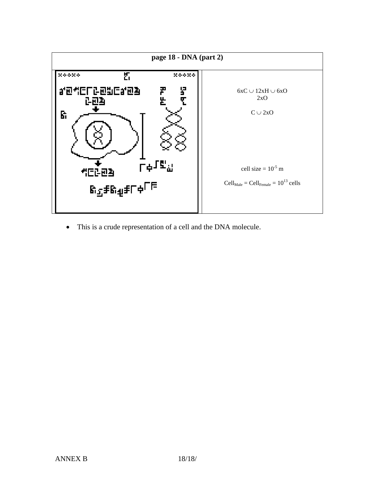

• This is a crude representation of a cell and the DNA molecule.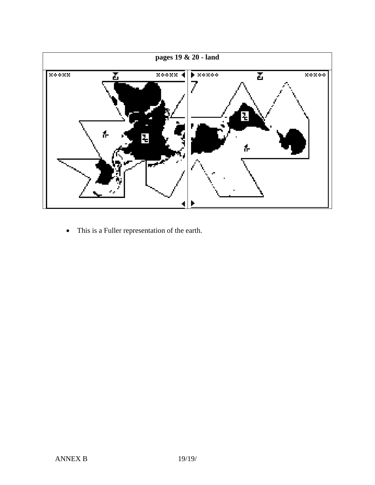

• This is a Fuller representation of the earth.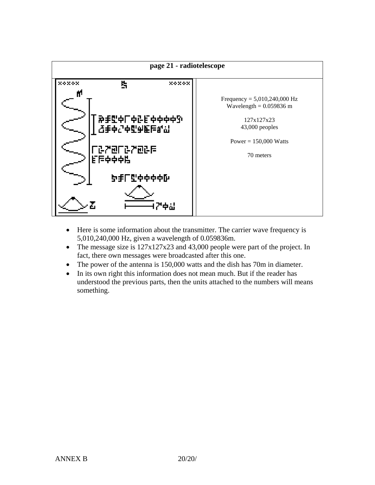

- Here is some information about the transmitter. The carrier wave frequency is 5,010,240,000 Hz, given a wavelength of 0.059836m.
- The message size is  $127x127x23$  and 43,000 people were part of the project. In fact, there own messages were broadcasted after this one.
- The power of the antenna is 150,000 watts and the dish has 70m in diameter.
- In its own right this information does not mean much. But if the reader has understood the previous parts, then the units attached to the numbers will means something.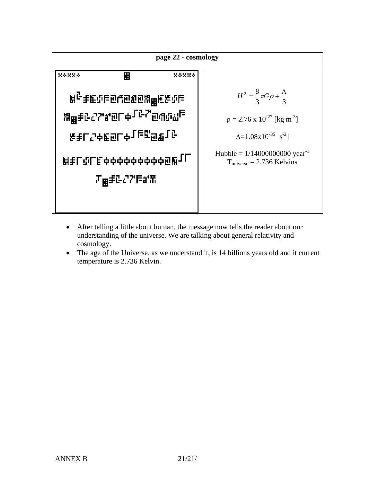

- After telling a little about human, the message now tells the reader about our understanding of the universe. We are talking about general relativity and cosmology.
- The age of the Universe, as we understand it, is 14 billions years old and it current temperature is 2.736 Kelvin.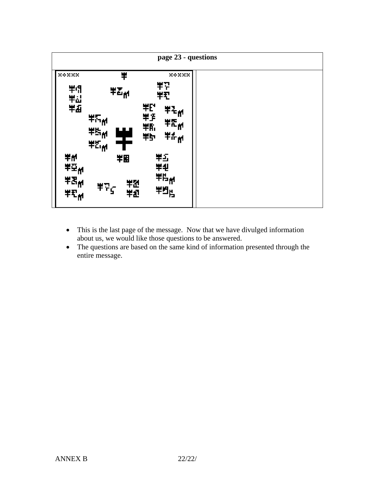

- This is the last page of the message. Now that we have divulged information about us, we would like those questions to be answered.
- The questions are based on the same kind of information presented through the entire message.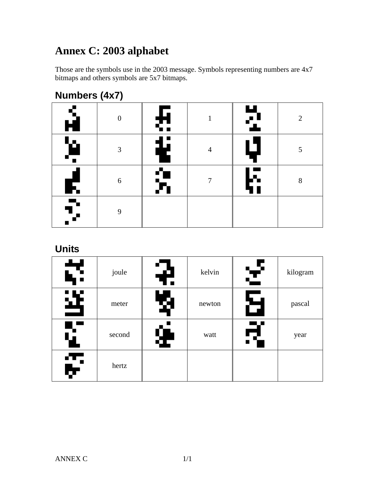## **Annex C: 2003 alphabet**

Those are the symbols use in the 2003 message. Symbols representing numbers are 4x7 bitmaps and others symbols are 5x7 bitmaps.

| $\cdots$           |          |         |   |                          |                |  |
|--------------------|----------|---------|---|--------------------------|----------------|--|
| $\mathbf{\hat{H}}$ | $\Omega$ | ⋤<br>52 |   | ш<br>$\blacksquare$      | $\overline{2}$ |  |
| 'n<br>⊊            | 3        | ŧ       | 4 | $\overline{\phantom{a}}$ | 5              |  |
| F.                 | 6        |         | 7 | ▚▚                       | 8              |  |
| 5.                 | 9        |         |   |                          |                |  |

### **Numbers (4x7)**

#### **Units**

| ť. | joule  | 7 | kelvin | £  | kilogram |
|----|--------|---|--------|----|----------|
| 逰  | meter  | Ø | newton | б  | pascal   |
| Ý. | second | Ť | watt   | ς. | year     |
| Ţ. | hertz  |   |        |    |          |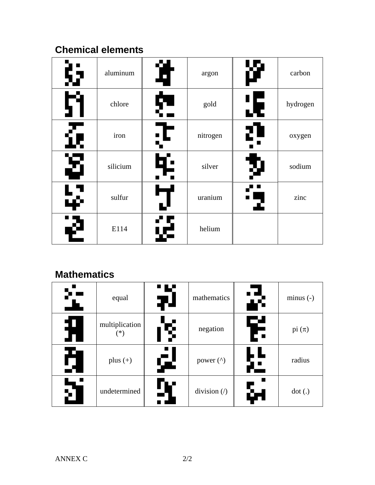### **Chemical elements**

| i y                | aluminum | <b>JA</b><br>$\overline{\phantom{0}}$ | argon    |    | carbon   |
|--------------------|----------|---------------------------------------|----------|----|----------|
|                    | chlore   | þ                                     | gold     | æ  | hydrogen |
| Ĺŧ                 | iron     | - L                                   | nitrogen | 2) | oxygen   |
| Ş.                 | silicium | Ę.                                    | silver   |    | sodium   |
| 40                 | sulfur   |                                       | uranium  |    | zinc     |
| $\mathbf{\hat{v}}$ | E114     | 停                                     | helium   |    |          |

### **Mathematics**

|                | equal                 | ' L'<br>$\mathbf{H}$ | mathematics                                  |   | $minus (-)$ |
|----------------|-----------------------|----------------------|----------------------------------------------|---|-------------|
| $\bm \Pi$<br>П | multiplication<br>(*` | Ş                    | negation                                     | F | pi $(\pi)$  |
| H              | plus $(+)$            | Ģ.                   | power $($ <sup><math>\wedge</math></sup> $)$ |   | radius      |
|                | undetermined          |                      | division $\left\langle \right\rangle$        |   | dot(.)      |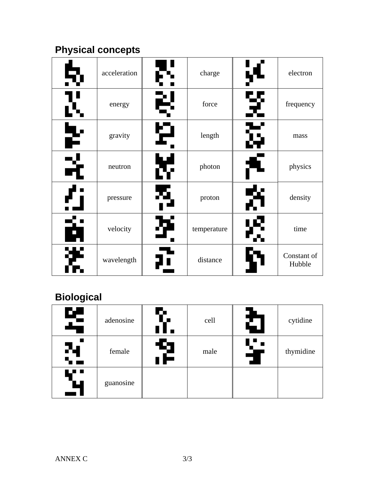## **Physical concepts**

|    | acceleration | tl | charge      |     | electron              |
|----|--------------|----|-------------|-----|-----------------------|
|    | energy       | 2  | force       | 귀   | frequency             |
| F  | gravity      | Ю  | length      | G   | mass                  |
| X  | neutron      | Ģ  | photon      |     | physics               |
|    | pressure     | 35 | proton      | EV. | density               |
| á  | velocity     |    | temperature |     | time                  |
| ЧW | wavelength   |    | distance    |     | Constant of<br>Hubble |

## **Biological**

| 똑  | adenosine | r. | cell | ζ       | cytidine  |
|----|-----------|----|------|---------|-----------|
| 74 | female    | 2  | male | Ų.<br>J | thymidine |
| ш  | guanosine |    |      |         |           |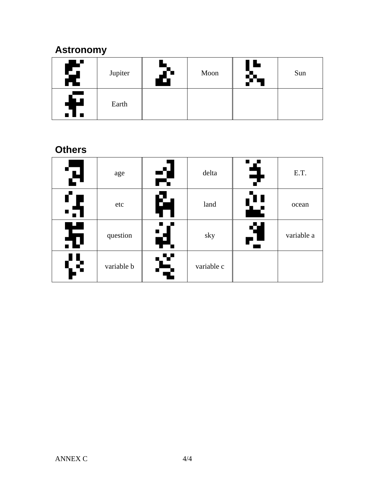### **Astronomy**

| ▏▊<br>X          | Jupiter | □ | Moon | œ | Sun |
|------------------|---------|---|------|---|-----|
| $\blacktriangle$ | Earth   |   |      |   |     |

#### **Others**

| М      | age        | rŦ      | delta      | ₹                   | E.T.       |
|--------|------------|---------|------------|---------------------|------------|
| ٠      | etc        | Й       | land       | Ľ                   | ocean      |
| ш<br>五 | question   | H.      | sky        | Ŋ<br>$\overline{P}$ | variable a |
| Œ.     | variable b | V<br>Ę. | variable c |                     |            |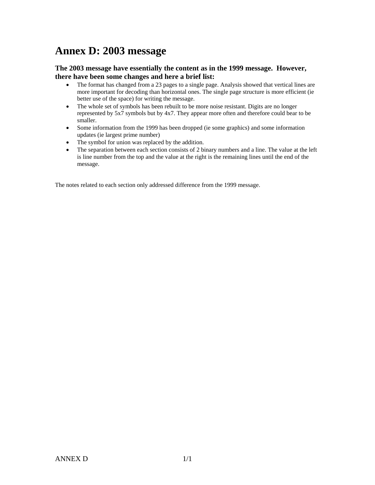### **Annex D: 2003 message**

#### **The 2003 message have essentially the content as in the 1999 message. However, there have been some changes and here a brief list:**

- The format has changed from a 23 pages to a single page. Analysis showed that vertical lines are more important for decoding than horizontal ones. The single page structure is more efficient (ie better use of the space) for writing the message.
- The whole set of symbols has been rebuilt to be more noise resistant. Digits are no longer represented by 5x7 symbols but by 4x7. They appear more often and therefore could bear to be smaller.
- Some information from the 1999 has been dropped (ie some graphics) and some information updates (ie largest prime number)
- The symbol for union was replaced by the addition.
- The separation between each section consists of 2 binary numbers and a line. The value at the left is line number from the top and the value at the right is the remaining lines until the end of the message.

The notes related to each section only addressed difference from the 1999 message.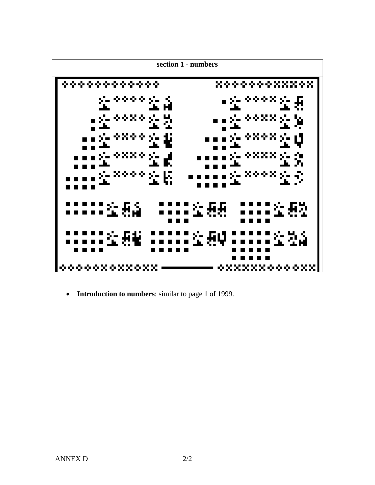

• **Introduction to numbers**: similar to page 1 of 1999.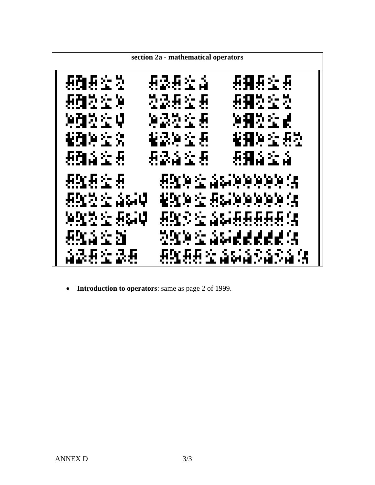

• **Introduction to operators**: same as page 2 of 1999.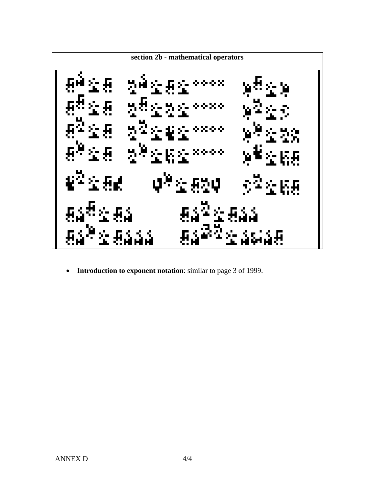**section 2b - mathematical operators** 

• **Introduction to exponent notation**: similar to page 3 of 1999.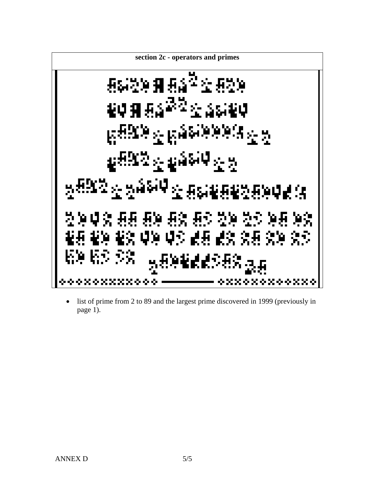**section 2c - operators and primes** 

• list of prime from 2 to 89 and the largest prime discovered in 1999 (previously in page 1).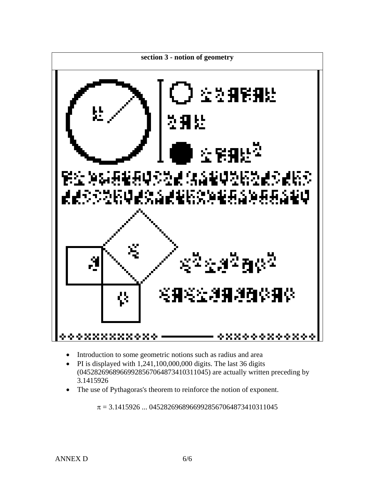

- Introduction to some geometric notions such as radius and area
- PI is displayed with  $1,241,100,000,000$  digits. The last 36 digits (04528269689669928567064873410311045) are actually written preceding by 3.1415926
- The use of Pythagoras's theorem to reinforce the notion of exponent.

 $\pi$  = 3.1415926 ... 04528269689669928567064873410311045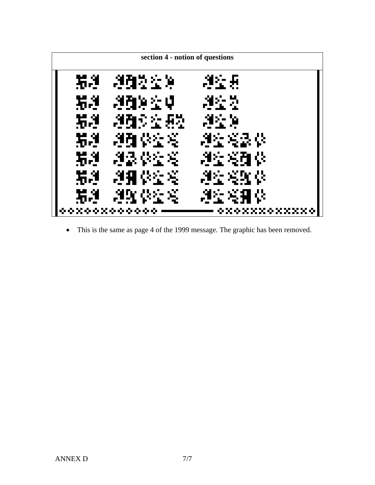

• This is the same as page 4 of the 1999 message. The graphic has been removed.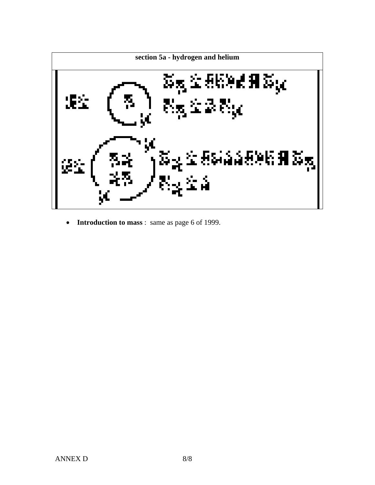

• **Introduction to mass** : same as page 6 of 1999.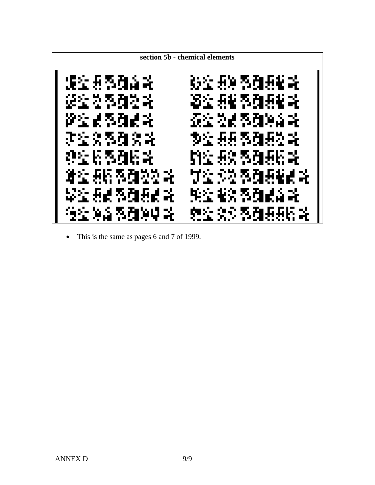

• This is the same as pages 6 and 7 of 1999.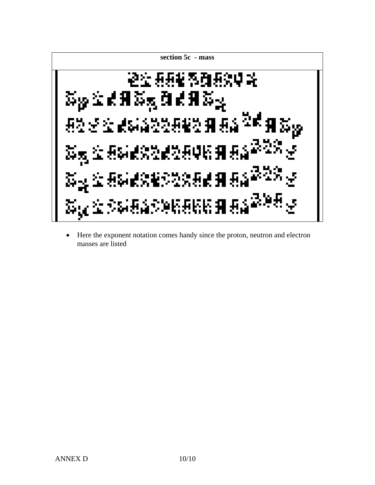

• Here the exponent notation comes handy since the proton, neutron and electron masses are listed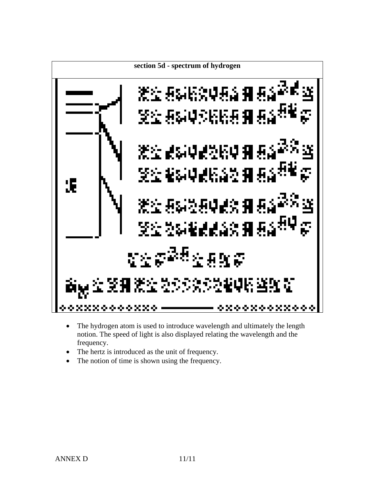

- The hydrogen atom is used to introduce wavelength and ultimately the length notion. The speed of light is also displayed relating the wavelength and the frequency.
- The hertz is introduced as the unit of frequency.
- The notion of time is shown using the frequency.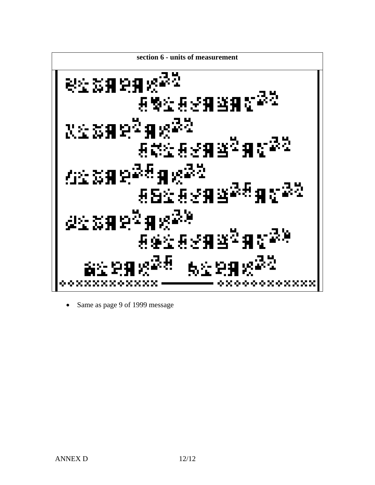

• Same as page 9 of 1999 message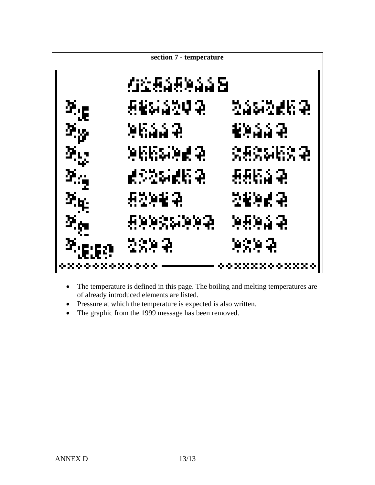

- The temperature is defined in this page. The boiling and melting temperatures are of already introduced elements are listed.
- Pressure at which the temperature is expected is also written.
- The graphic from the 1999 message has been removed.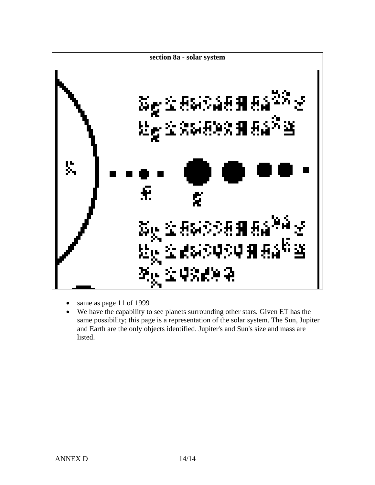

- same as page 11 of 1999
- We have the capability to see planets surrounding other stars. Given ET has the same possibility; this page is a representation of the solar system. The Sun, Jupiter and Earth are the only objects identified. Jupiter's and Sun's size and mass are listed.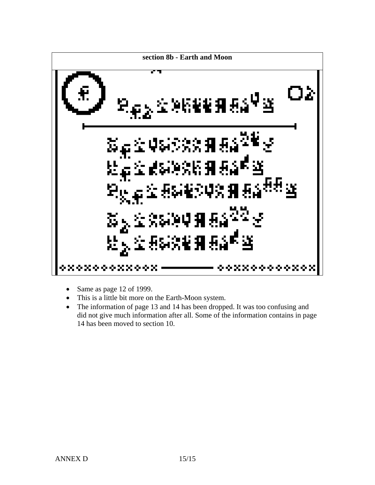

- Same as page 12 of 1999.
- This is a little bit more on the Earth-Moon system.
- The information of page 13 and 14 has been dropped. It was too confusing and did not give much information after all. Some of the information contains in page 14 has been moved to section 10.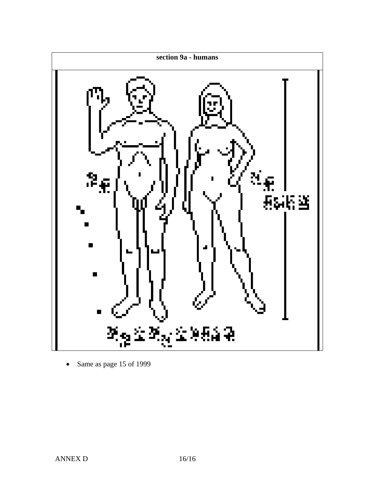

• Same as page 15 of 1999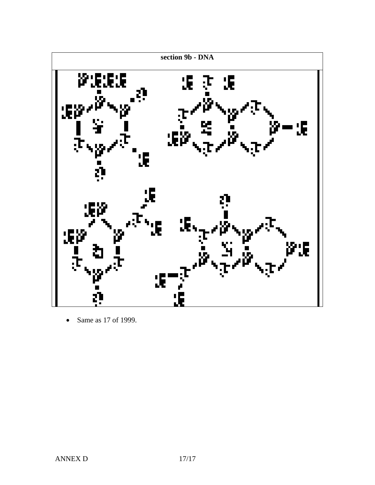

• Same as 17 of 1999.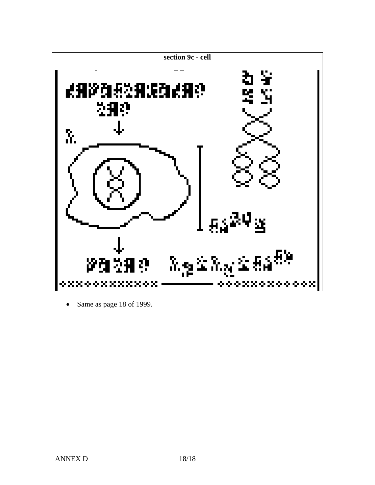

• Same as page 18 of 1999.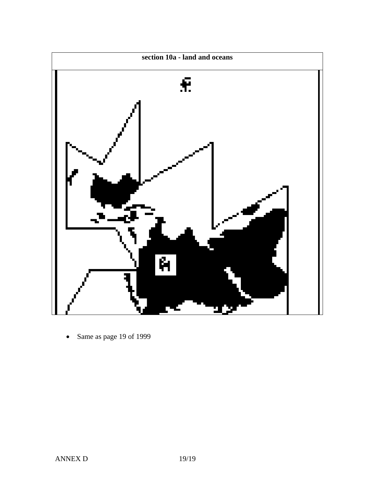

• Same as page 19 of 1999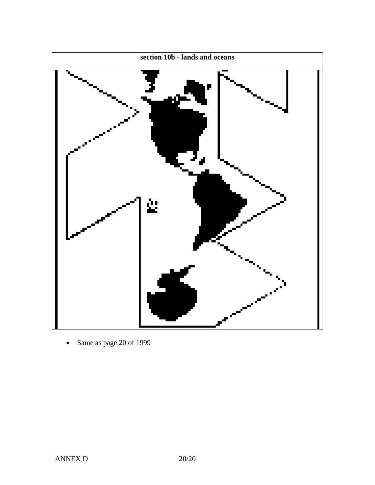

• Same as page 20 of 1999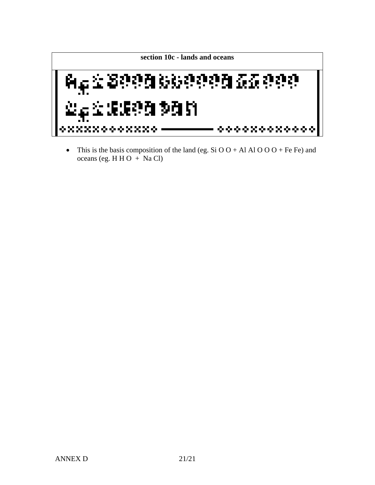

• This is the basis composition of the land (eg. Si O O + Al Al O O O + Fe Fe) and oceans (eg. H H O + Na Cl)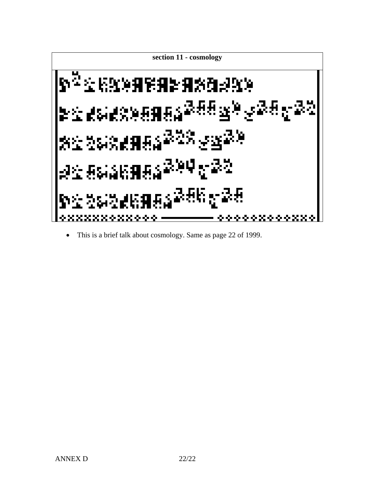

• This is a brief talk about cosmology. Same as page 22 of 1999.